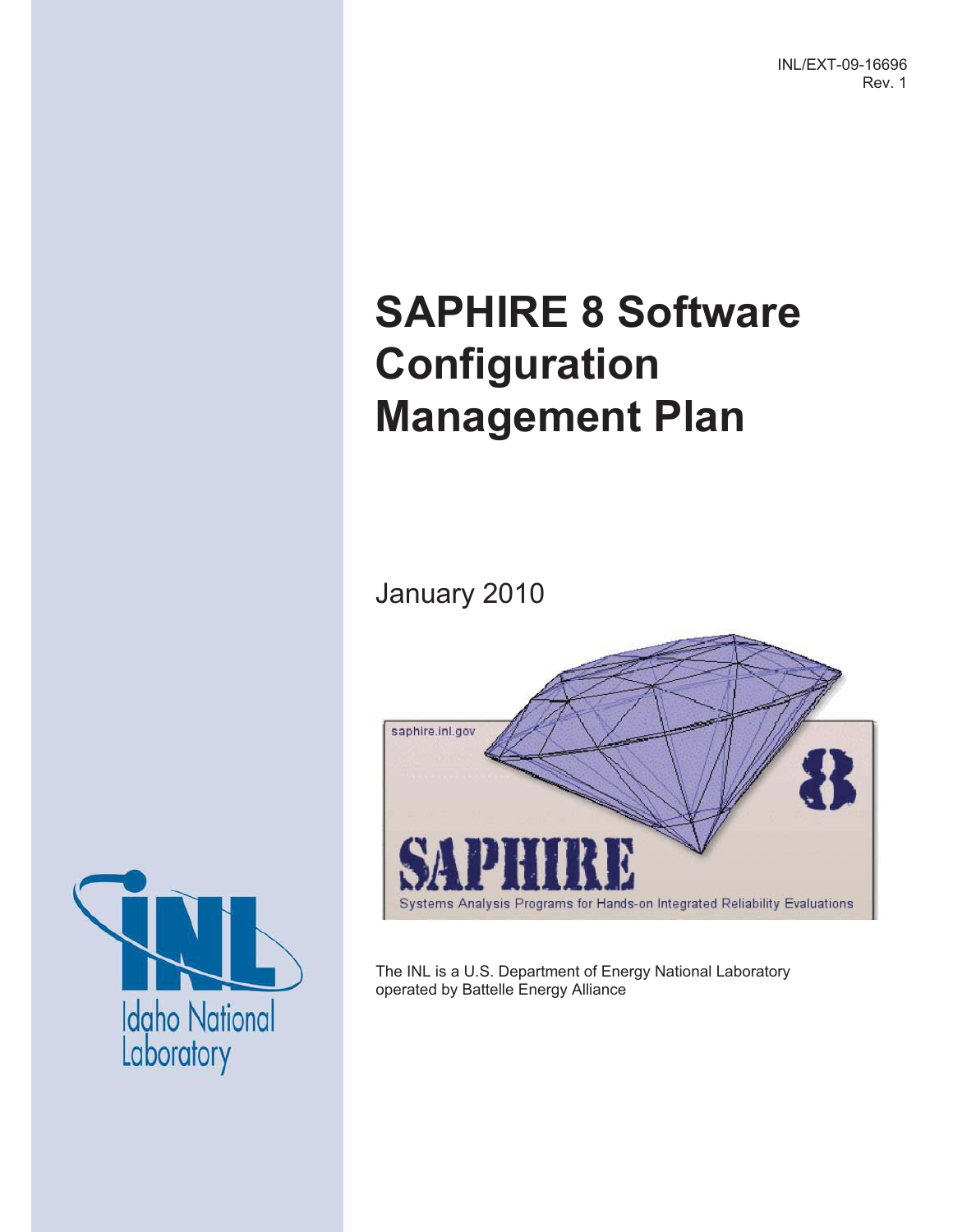INL/EXT-09-16696 Rev. 1

# **SAPHIRE 8 Software Configuration Management Plan**

January 2010



The INL is a U.S. Department of Energy National Laboratory operated by Battelle Energy Alliance

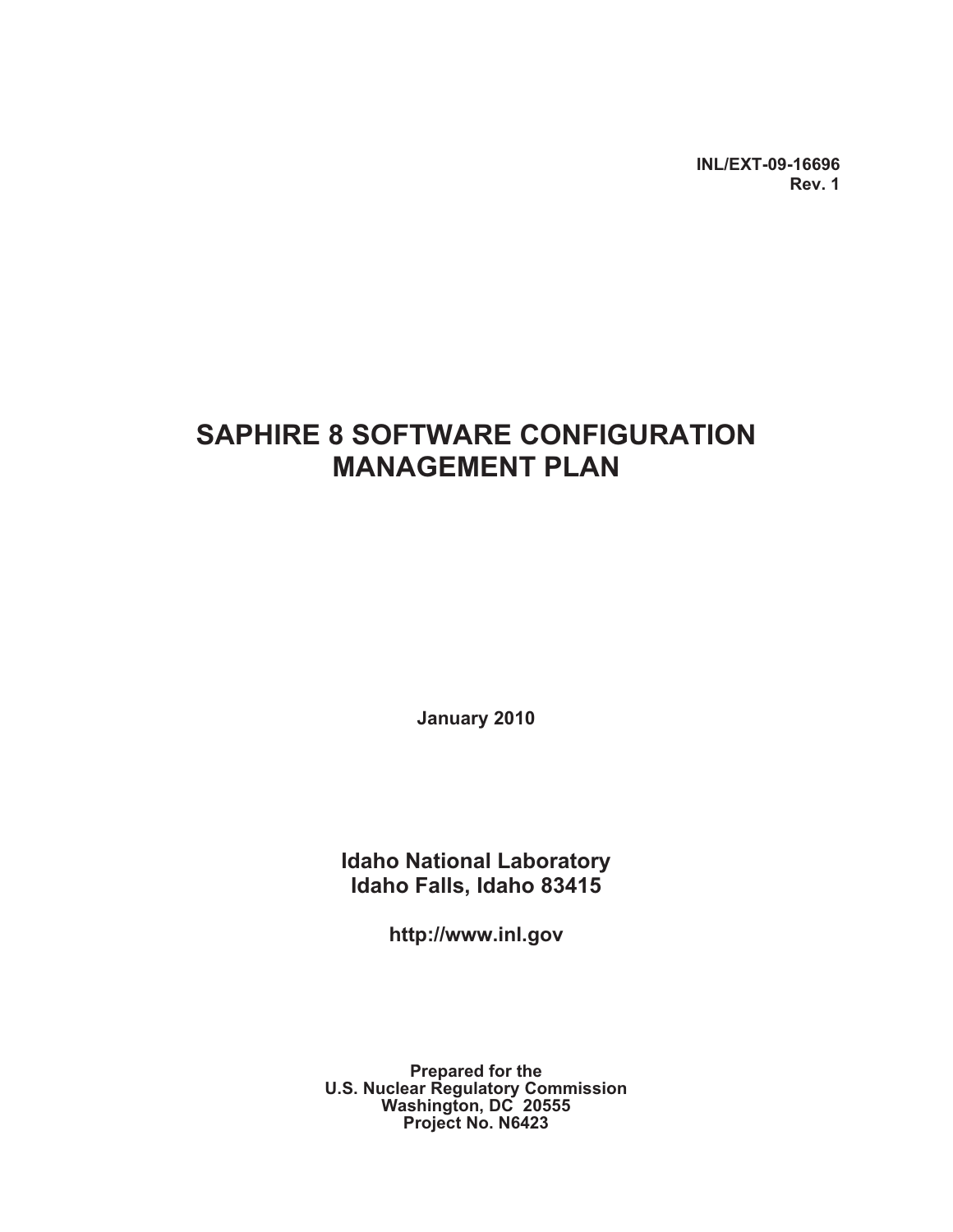**INL/EXT-09-16696 Rev. 1**

### **SAPHIRE 8 SOFTWARE CONFIGURATION MANAGEMENT PLAN**

**January 2010** 

**Idaho National Laboratory Idaho Falls, Idaho 83415** 

**http://www.inl.gov**

**Prepared for the U.S. Nuclear Regulatory Commission Washington, DC 20555 Project No. N6423**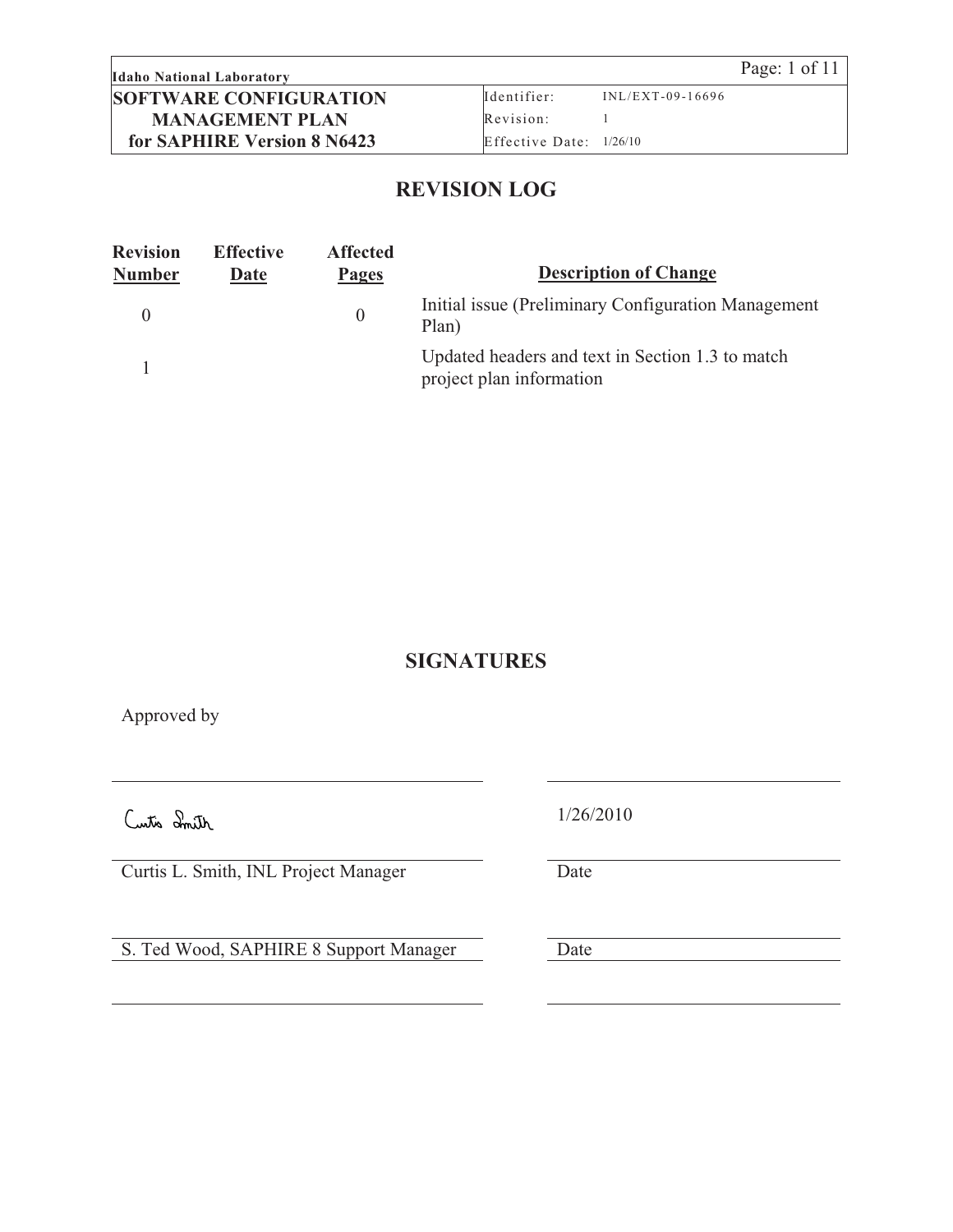#### **Idaho National Laboratory** Page: 1 of 11 **SOFTWARE CONFIGURATION MANAGEMENT PLAN for SAPHIRE Version 8 N6423**

Identifier: INL/EXT-09-16696 Revision: 1 Effective Date: 1/26/10

#### **REVISION LOG**

| <b>Revision</b><br><b>Number</b> | <b>Effective</b><br>Date | <b>Affected</b><br>Pages | <b>Description of Change</b>                                                 |
|----------------------------------|--------------------------|--------------------------|------------------------------------------------------------------------------|
|                                  |                          | $\overline{0}$           | Initial issue (Preliminary Configuration Management)<br>Plan)                |
|                                  |                          |                          | Updated headers and text in Section 1.3 to match<br>project plan information |

#### **SIGNATURES**

Approved by

Curtis L. Smith, INL Project Manager Date

S. Ted Wood, SAPHIRE 8 Support Manager Date

1/26/2010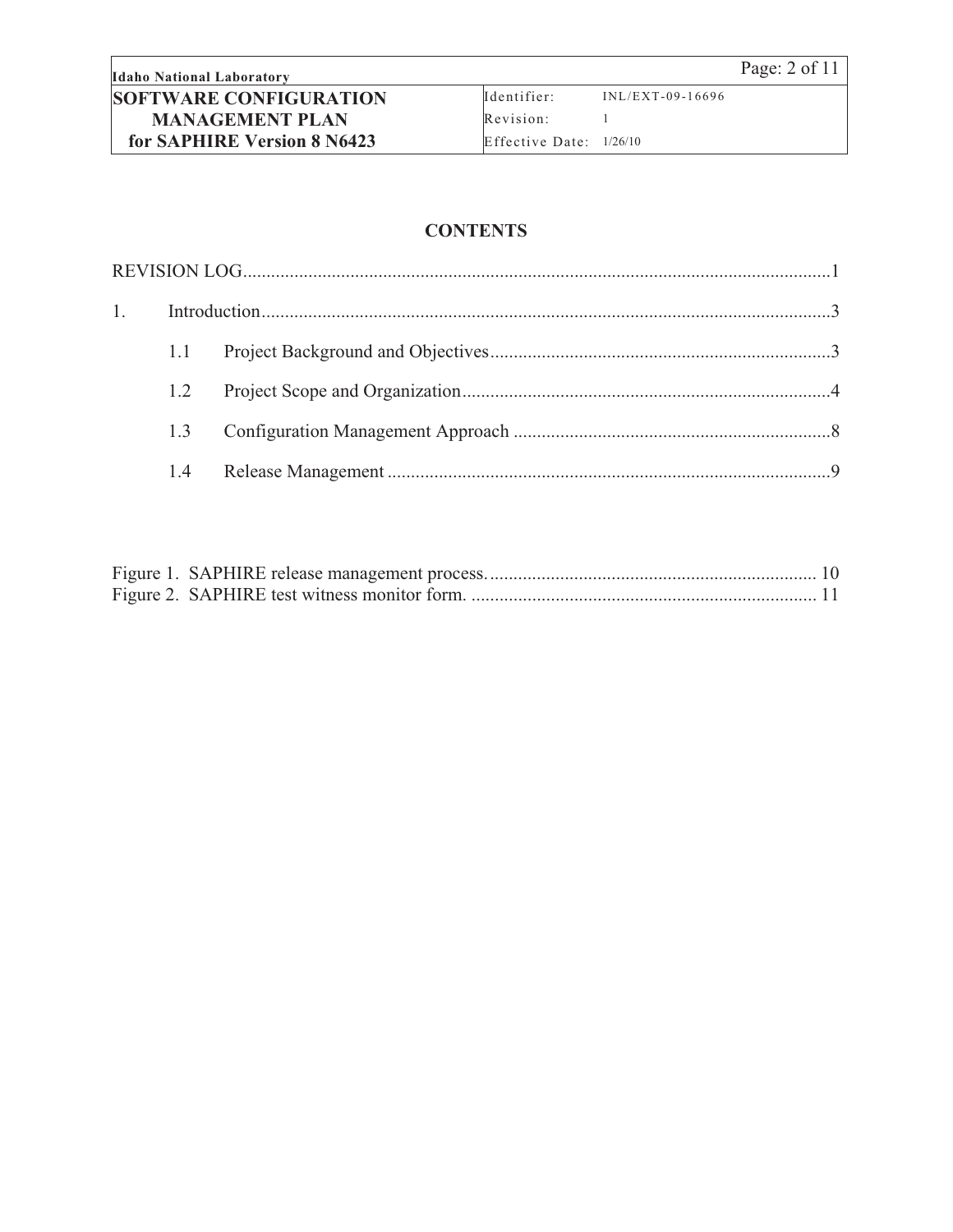Identifier: INL/EXT-09-16696 Revision: 1 Effective Date: 1/26/10

#### **CONTENTS**

| 1. |     |  |
|----|-----|--|
|    | 1.1 |  |
|    | 1.2 |  |
|    | 13  |  |
|    |     |  |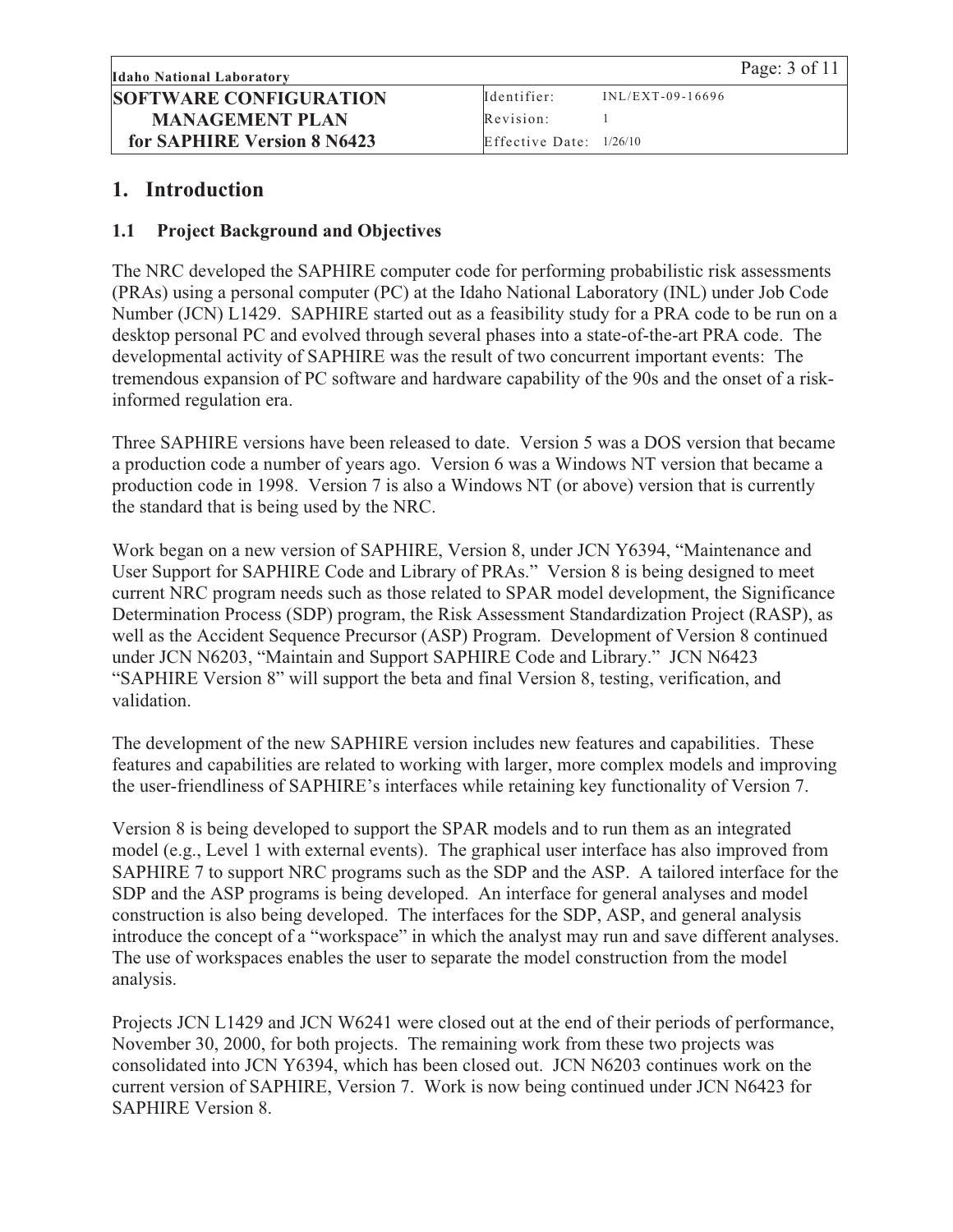#### **1. Introduction**

#### **1.1 Project Background and Objectives**

The NRC developed the SAPHIRE computer code for performing probabilistic risk assessments (PRAs) using a personal computer (PC) at the Idaho National Laboratory (INL) under Job Code Number (JCN) L1429. SAPHIRE started out as a feasibility study for a PRA code to be run on a desktop personal PC and evolved through several phases into a state-of-the-art PRA code. The developmental activity of SAPHIRE was the result of two concurrent important events: The tremendous expansion of PC software and hardware capability of the 90s and the onset of a riskinformed regulation era.

Three SAPHIRE versions have been released to date. Version 5 was a DOS version that became a production code a number of years ago. Version 6 was a Windows NT version that became a production code in 1998. Version 7 is also a Windows NT (or above) version that is currently the standard that is being used by the NRC.

Work began on a new version of SAPHIRE, Version 8, under JCN Y6394, "Maintenance and User Support for SAPHIRE Code and Library of PRAs." Version 8 is being designed to meet current NRC program needs such as those related to SPAR model development, the Significance Determination Process (SDP) program, the Risk Assessment Standardization Project (RASP), as well as the Accident Sequence Precursor (ASP) Program. Development of Version 8 continued under JCN N6203, "Maintain and Support SAPHIRE Code and Library." JCN N6423 "SAPHIRE Version 8" will support the beta and final Version 8, testing, verification, and validation.

The development of the new SAPHIRE version includes new features and capabilities. These features and capabilities are related to working with larger, more complex models and improving the user-friendliness of SAPHIRE's interfaces while retaining key functionality of Version 7.

Version 8 is being developed to support the SPAR models and to run them as an integrated model (e.g., Level 1 with external events). The graphical user interface has also improved from SAPHIRE 7 to support NRC programs such as the SDP and the ASP. A tailored interface for the SDP and the ASP programs is being developed. An interface for general analyses and model construction is also being developed. The interfaces for the SDP, ASP, and general analysis introduce the concept of a "workspace" in which the analyst may run and save different analyses. The use of workspaces enables the user to separate the model construction from the model analysis.

Projects JCN L1429 and JCN W6241 were closed out at the end of their periods of performance, November 30, 2000, for both projects. The remaining work from these two projects was consolidated into JCN Y6394, which has been closed out. JCN N6203 continues work on the current version of SAPHIRE, Version 7. Work is now being continued under JCN N6423 for SAPHIRE Version 8.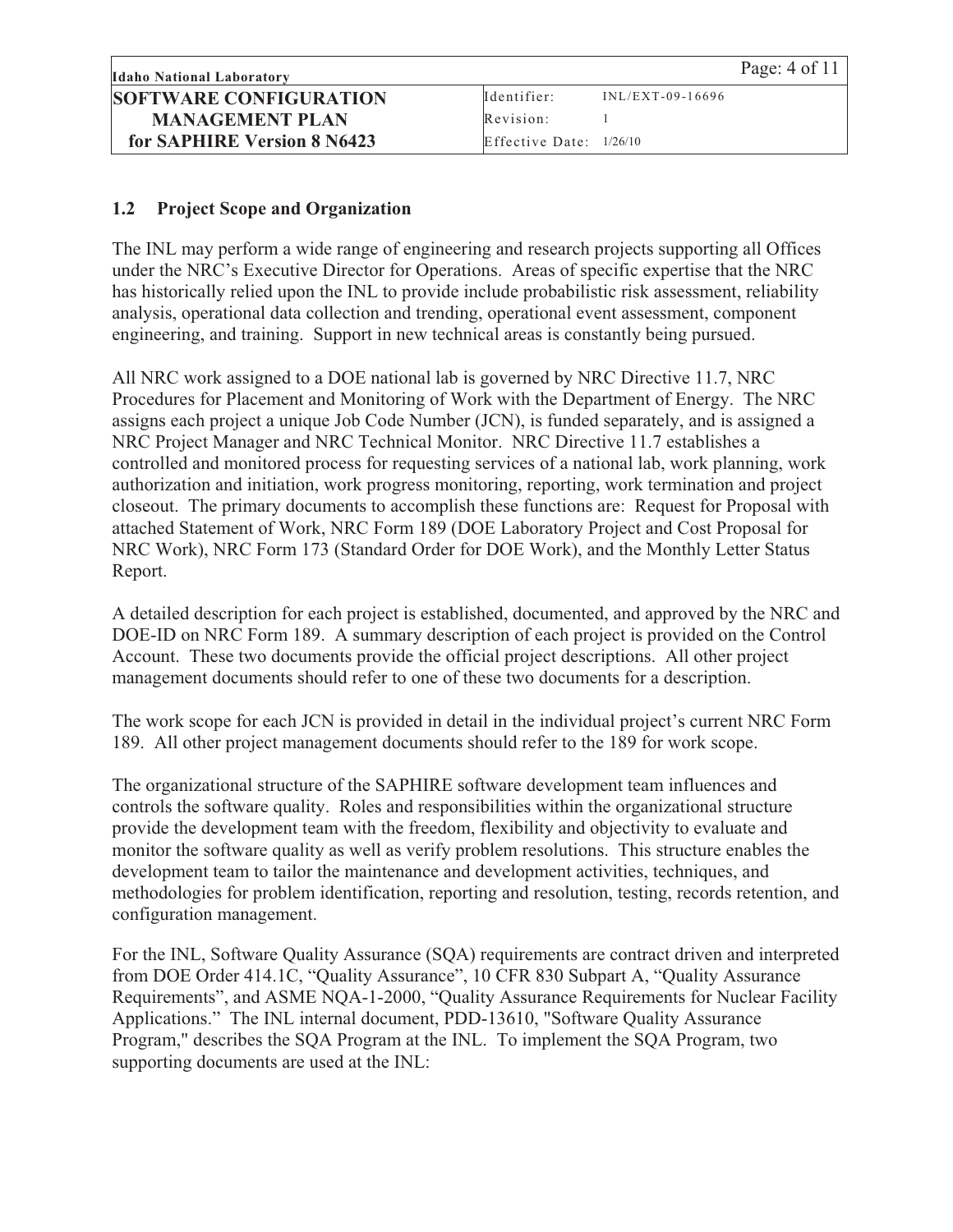#### **1.2 Project Scope and Organization**

The INL may perform a wide range of engineering and research projects supporting all Offices under the NRC's Executive Director for Operations. Areas of specific expertise that the NRC has historically relied upon the INL to provide include probabilistic risk assessment, reliability analysis, operational data collection and trending, operational event assessment, component engineering, and training. Support in new technical areas is constantly being pursued.

All NRC work assigned to a DOE national lab is governed by NRC Directive 11.7, NRC Procedures for Placement and Monitoring of Work with the Department of Energy. The NRC assigns each project a unique Job Code Number (JCN), is funded separately, and is assigned a NRC Project Manager and NRC Technical Monitor. NRC Directive 11.7 establishes a controlled and monitored process for requesting services of a national lab, work planning, work authorization and initiation, work progress monitoring, reporting, work termination and project closeout. The primary documents to accomplish these functions are: Request for Proposal with attached Statement of Work, NRC Form 189 (DOE Laboratory Project and Cost Proposal for NRC Work), NRC Form 173 (Standard Order for DOE Work), and the Monthly Letter Status Report.

A detailed description for each project is established, documented, and approved by the NRC and DOE-ID on NRC Form 189. A summary description of each project is provided on the Control Account. These two documents provide the official project descriptions. All other project management documents should refer to one of these two documents for a description.

The work scope for each JCN is provided in detail in the individual project's current NRC Form 189. All other project management documents should refer to the 189 for work scope.

The organizational structure of the SAPHIRE software development team influences and controls the software quality. Roles and responsibilities within the organizational structure provide the development team with the freedom, flexibility and objectivity to evaluate and monitor the software quality as well as verify problem resolutions. This structure enables the development team to tailor the maintenance and development activities, techniques, and methodologies for problem identification, reporting and resolution, testing, records retention, and configuration management.

For the INL, Software Quality Assurance (SQA) requirements are contract driven and interpreted from DOE Order 414.1C, "Quality Assurance", 10 CFR 830 Subpart A, "Quality Assurance Requirements", and ASME NQA-1-2000, "Quality Assurance Requirements for Nuclear Facility Applications." The INL internal document, PDD-13610, "Software Quality Assurance Program," describes the SQA Program at the INL. To implement the SQA Program, two supporting documents are used at the INL: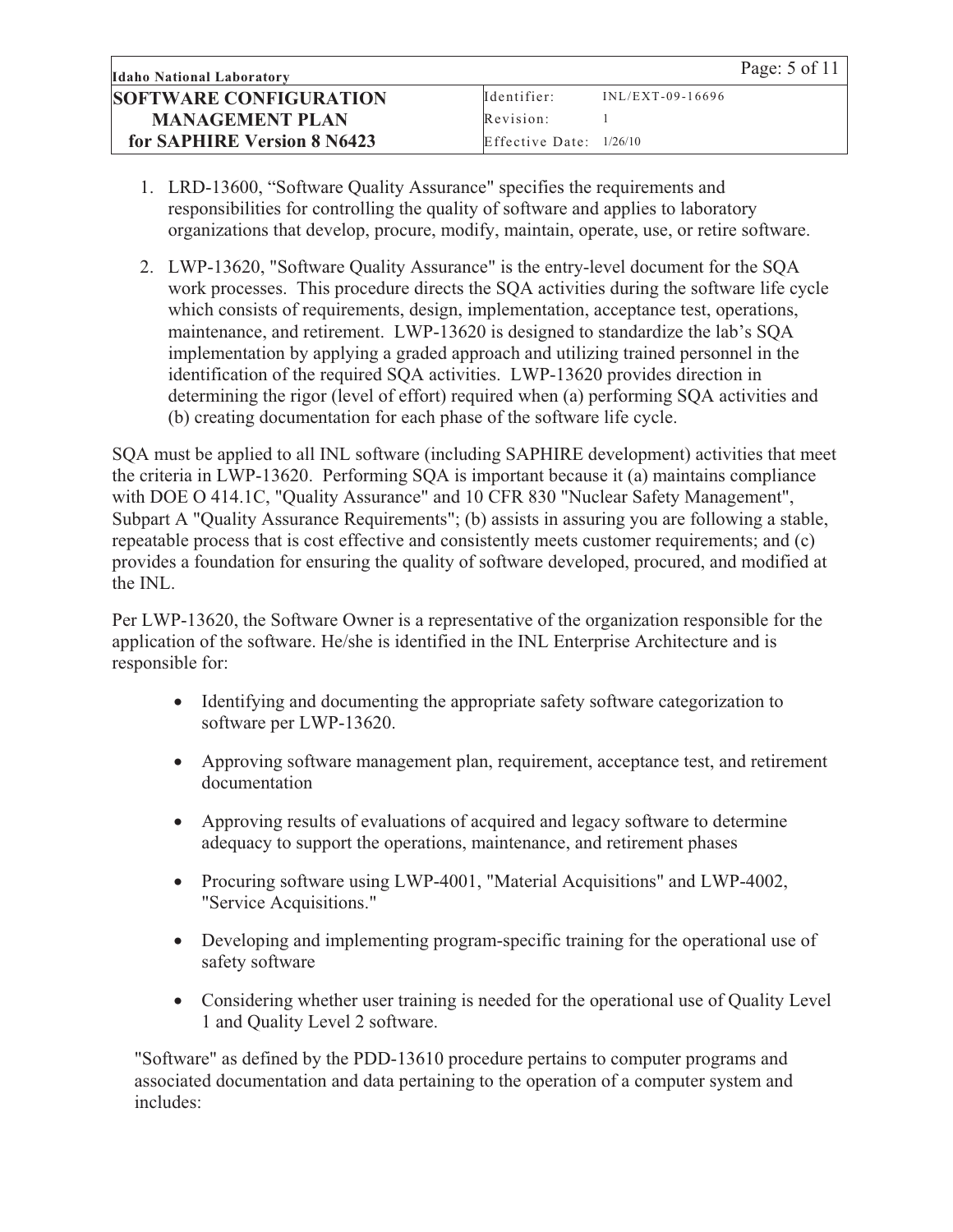- 1. LRD-13600, "Software Quality Assurance" specifies the requirements and responsibilities for controlling the quality of software and applies to laboratory organizations that develop, procure, modify, maintain, operate, use, or retire software.
- 2. LWP-13620, "Software Quality Assurance" is the entry-level document for the SQA work processes. This procedure directs the SQA activities during the software life cycle which consists of requirements, design, implementation, acceptance test, operations, maintenance, and retirement. LWP-13620 is designed to standardize the lab's SQA implementation by applying a graded approach and utilizing trained personnel in the identification of the required SQA activities. LWP-13620 provides direction in determining the rigor (level of effort) required when (a) performing SQA activities and (b) creating documentation for each phase of the software life cycle.

SQA must be applied to all INL software (including SAPHIRE development) activities that meet the criteria in LWP-13620. Performing SQA is important because it (a) maintains compliance with DOE O 414.1C, "Quality Assurance" and 10 CFR 830 "Nuclear Safety Management", Subpart A "Quality Assurance Requirements"; (b) assists in assuring you are following a stable, repeatable process that is cost effective and consistently meets customer requirements; and (c) provides a foundation for ensuring the quality of software developed, procured, and modified at the INL.

Per LWP-13620, the Software Owner is a representative of the organization responsible for the application of the software. He/she is identified in the INL Enterprise Architecture and is responsible for:

- $\bullet$  Identifying and documenting the appropriate safety software categorization to software per LWP-13620.
- Approving software management plan, requirement, acceptance test, and retirement documentation
- Approving results of evaluations of acquired and legacy software to determine adequacy to support the operations, maintenance, and retirement phases
- $\bullet$  Procuring software using LWP-4001, "Material Acquisitions" and LWP-4002, "Service Acquisitions."
- $\bullet$  Developing and implementing program-specific training for the operational use of safety software
- Considering whether user training is needed for the operational use of Quality Level 1 and Quality Level 2 software.

"Software" as defined by the PDD-13610 procedure pertains to computer programs and associated documentation and data pertaining to the operation of a computer system and includes: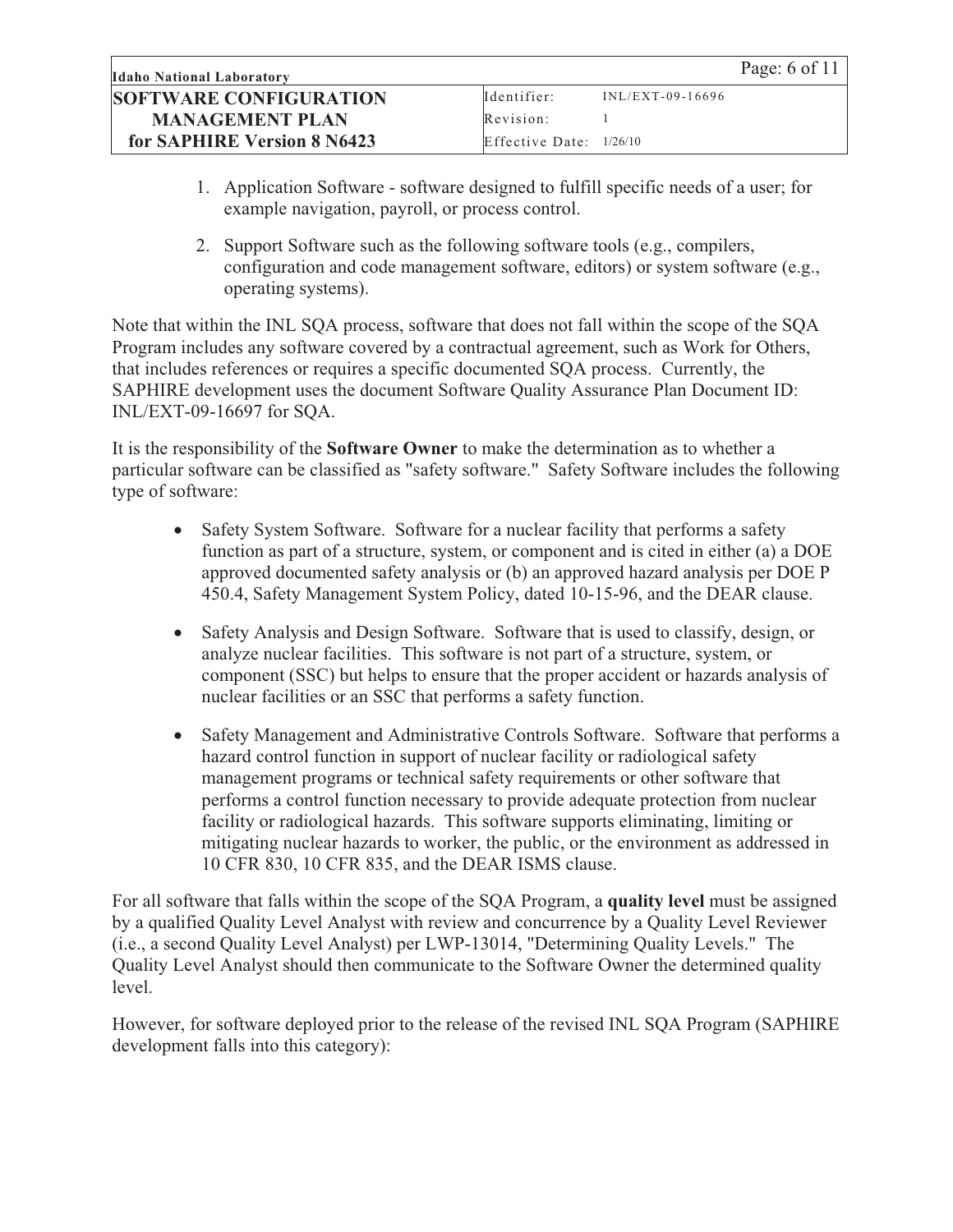| <b>Idaho National Laboratory</b> |                           |                    | Page: 6 of 11 |
|----------------------------------|---------------------------|--------------------|---------------|
| <b>SOFTWARE CONFIGURATION</b>    | Identifier:               | $INL/EXT-09-16696$ |               |
| <b>MANAGEMENT PLAN</b>           | Revision:                 |                    |               |
| for SAPHIRE Version 8 N6423      | Effective Date: $1/26/10$ |                    |               |

- 1. Application Software software designed to fulfill specific needs of a user; for example navigation, payroll, or process control.
- 2. Support Software such as the following software tools (e.g., compilers, configuration and code management software, editors) or system software (e.g., operating systems).

Note that within the INL SQA process, software that does not fall within the scope of the SQA Program includes any software covered by a contractual agreement, such as Work for Others, that includes references or requires a specific documented SQA process. Currently, the SAPHIRE development uses the document Software Quality Assurance Plan Document ID: INL/EXT-09-16697 for SQA.

It is the responsibility of the **Software Owner** to make the determination as to whether a particular software can be classified as "safety software." Safety Software includes the following type of software:

- $\bullet$  Safety System Software. Software for a nuclear facility that performs a safety function as part of a structure, system, or component and is cited in either (a) a DOE approved documented safety analysis or (b) an approved hazard analysis per DOE P 450.4, Safety Management System Policy, dated 10-15-96, and the DEAR clause.
- $\bullet$  Safety Analysis and Design Software. Software that is used to classify, design, or analyze nuclear facilities. This software is not part of a structure, system, or component (SSC) but helps to ensure that the proper accident or hazards analysis of nuclear facilities or an SSC that performs a safety function.
- $\bullet$  Safety Management and Administrative Controls Software. Software that performs a hazard control function in support of nuclear facility or radiological safety management programs or technical safety requirements or other software that performs a control function necessary to provide adequate protection from nuclear facility or radiological hazards. This software supports eliminating, limiting or mitigating nuclear hazards to worker, the public, or the environment as addressed in 10 CFR 830, 10 CFR 835, and the DEAR ISMS clause.

For all software that falls within the scope of the SQA Program, a **quality level** must be assigned by a qualified Quality Level Analyst with review and concurrence by a Quality Level Reviewer (i.e., a second Quality Level Analyst) per LWP-13014, "Determining Quality Levels." The Quality Level Analyst should then communicate to the Software Owner the determined quality level.

However, for software deployed prior to the release of the revised INL SQA Program (SAPHIRE development falls into this category):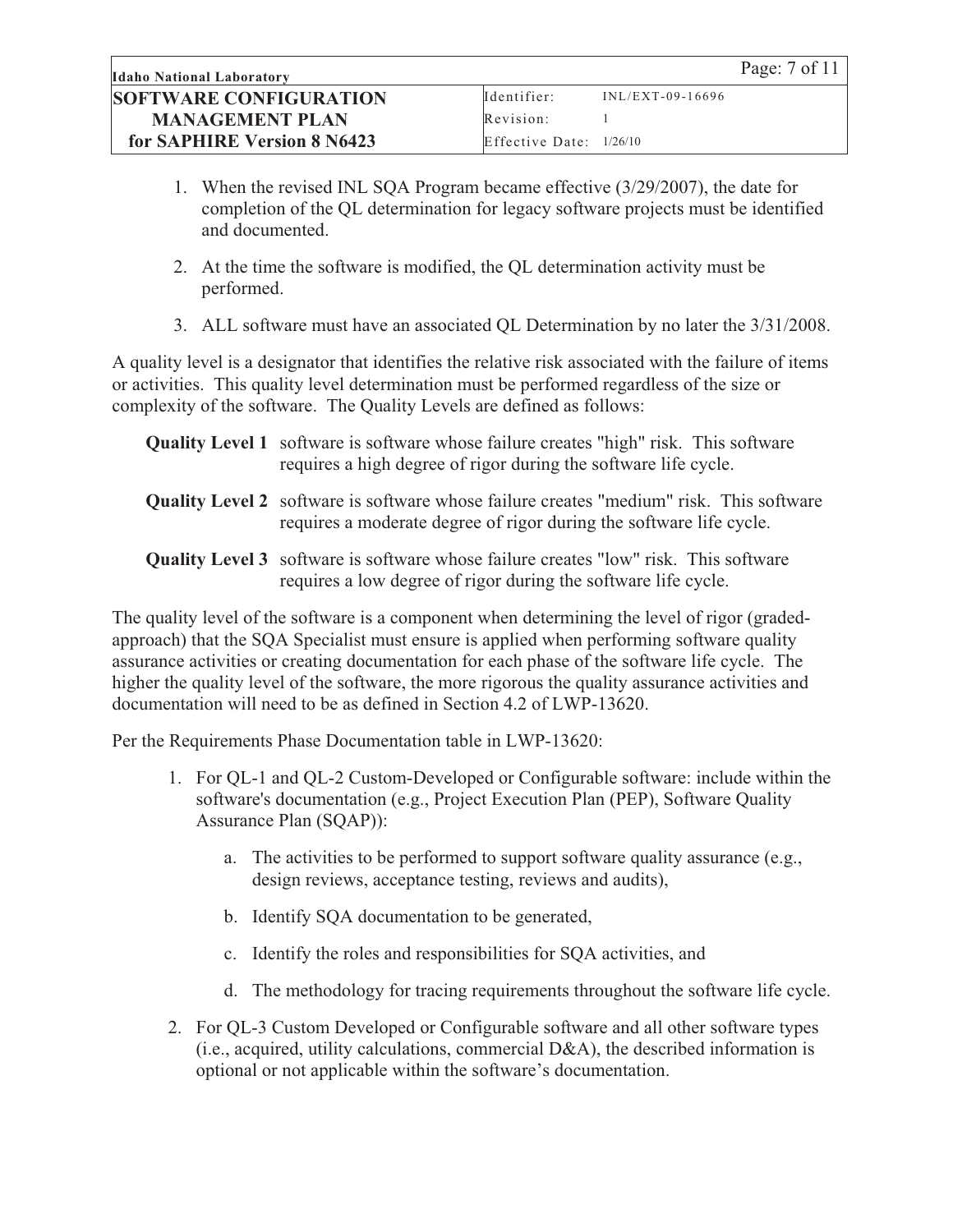- 1. When the revised INL SQA Program became effective (3/29/2007), the date for completion of the QL determination for legacy software projects must be identified and documented.
- 2. At the time the software is modified, the QL determination activity must be performed.
- 3. ALL software must have an associated QL Determination by no later the 3/31/2008.

A quality level is a designator that identifies the relative risk associated with the failure of items or activities. This quality level determination must be performed regardless of the size or complexity of the software. The Quality Levels are defined as follows:

| <b>Quality Level 1</b> software is software whose failure creates "high" risk. This software |
|----------------------------------------------------------------------------------------------|
| requires a high degree of rigor during the software life cycle.                              |

- **Quality Level 2** software is software whose failure creates "medium" risk. This software requires a moderate degree of rigor during the software life cycle.
- **Quality Level 3** software is software whose failure creates "low" risk. This software requires a low degree of rigor during the software life cycle.

The quality level of the software is a component when determining the level of rigor (gradedapproach) that the SQA Specialist must ensure is applied when performing software quality assurance activities or creating documentation for each phase of the software life cycle. The higher the quality level of the software, the more rigorous the quality assurance activities and documentation will need to be as defined in Section 4.2 of LWP-13620.

Per the Requirements Phase Documentation table in LWP-13620:

- 1. For QL-1 and QL-2 Custom-Developed or Configurable software: include within the software's documentation (e.g., Project Execution Plan (PEP), Software Quality Assurance Plan (SQAP)):
	- a. The activities to be performed to support software quality assurance (e.g., design reviews, acceptance testing, reviews and audits),
	- b. Identify SQA documentation to be generated,
	- c. Identify the roles and responsibilities for SQA activities, and
	- d. The methodology for tracing requirements throughout the software life cycle.
- 2. For QL-3 Custom Developed or Configurable software and all other software types (i.e., acquired, utility calculations, commercial D&A), the described information is optional or not applicable within the software's documentation.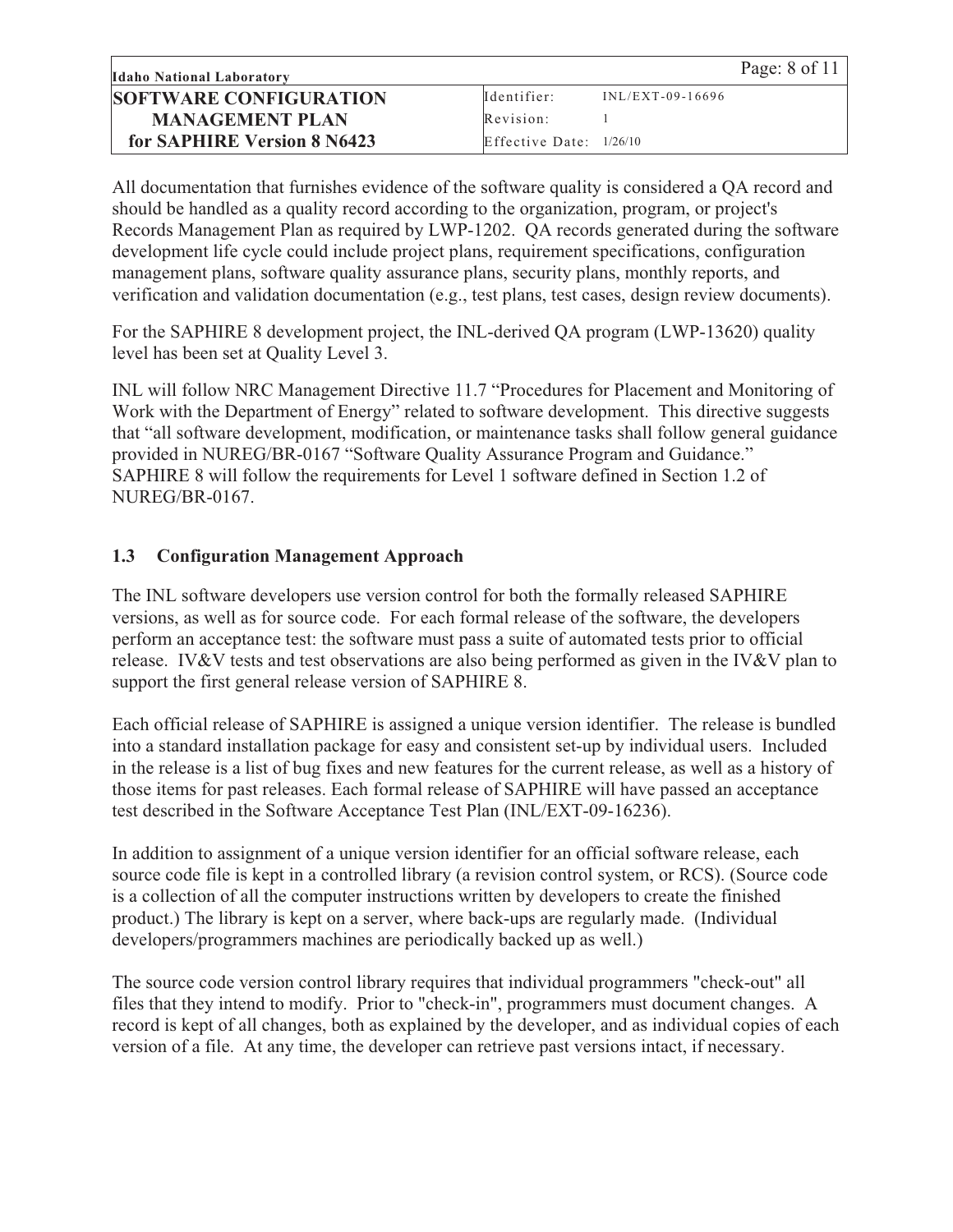All documentation that furnishes evidence of the software quality is considered a QA record and should be handled as a quality record according to the organization, program, or project's Records Management Plan as required by LWP-1202. QA records generated during the software development life cycle could include project plans, requirement specifications, configuration management plans, software quality assurance plans, security plans, monthly reports, and verification and validation documentation (e.g., test plans, test cases, design review documents).

For the SAPHIRE 8 development project, the INL-derived QA program (LWP-13620) quality level has been set at Quality Level 3.

INL will follow NRC Management Directive 11.7 "Procedures for Placement and Monitoring of Work with the Department of Energy" related to software development. This directive suggests that "all software development, modification, or maintenance tasks shall follow general guidance provided in NUREG/BR-0167 "Software Quality Assurance Program and Guidance." SAPHIRE 8 will follow the requirements for Level 1 software defined in Section 1.2 of NUREG/BR-0167.

#### **1.3 Configuration Management Approach**

The INL software developers use version control for both the formally released SAPHIRE versions, as well as for source code. For each formal release of the software, the developers perform an acceptance test: the software must pass a suite of automated tests prior to official release. IV&V tests and test observations are also being performed as given in the IV&V plan to support the first general release version of SAPHIRE 8.

Each official release of SAPHIRE is assigned a unique version identifier. The release is bundled into a standard installation package for easy and consistent set-up by individual users. Included in the release is a list of bug fixes and new features for the current release, as well as a history of those items for past releases. Each formal release of SAPHIRE will have passed an acceptance test described in the Software Acceptance Test Plan (INL/EXT-09-16236).

In addition to assignment of a unique version identifier for an official software release, each source code file is kept in a controlled library (a revision control system, or RCS). (Source code is a collection of all the computer instructions written by developers to create the finished product.) The library is kept on a server, where back-ups are regularly made. (Individual developers/programmers machines are periodically backed up as well.)

The source code version control library requires that individual programmers "check-out" all files that they intend to modify. Prior to "check-in", programmers must document changes. A record is kept of all changes, both as explained by the developer, and as individual copies of each version of a file. At any time, the developer can retrieve past versions intact, if necessary.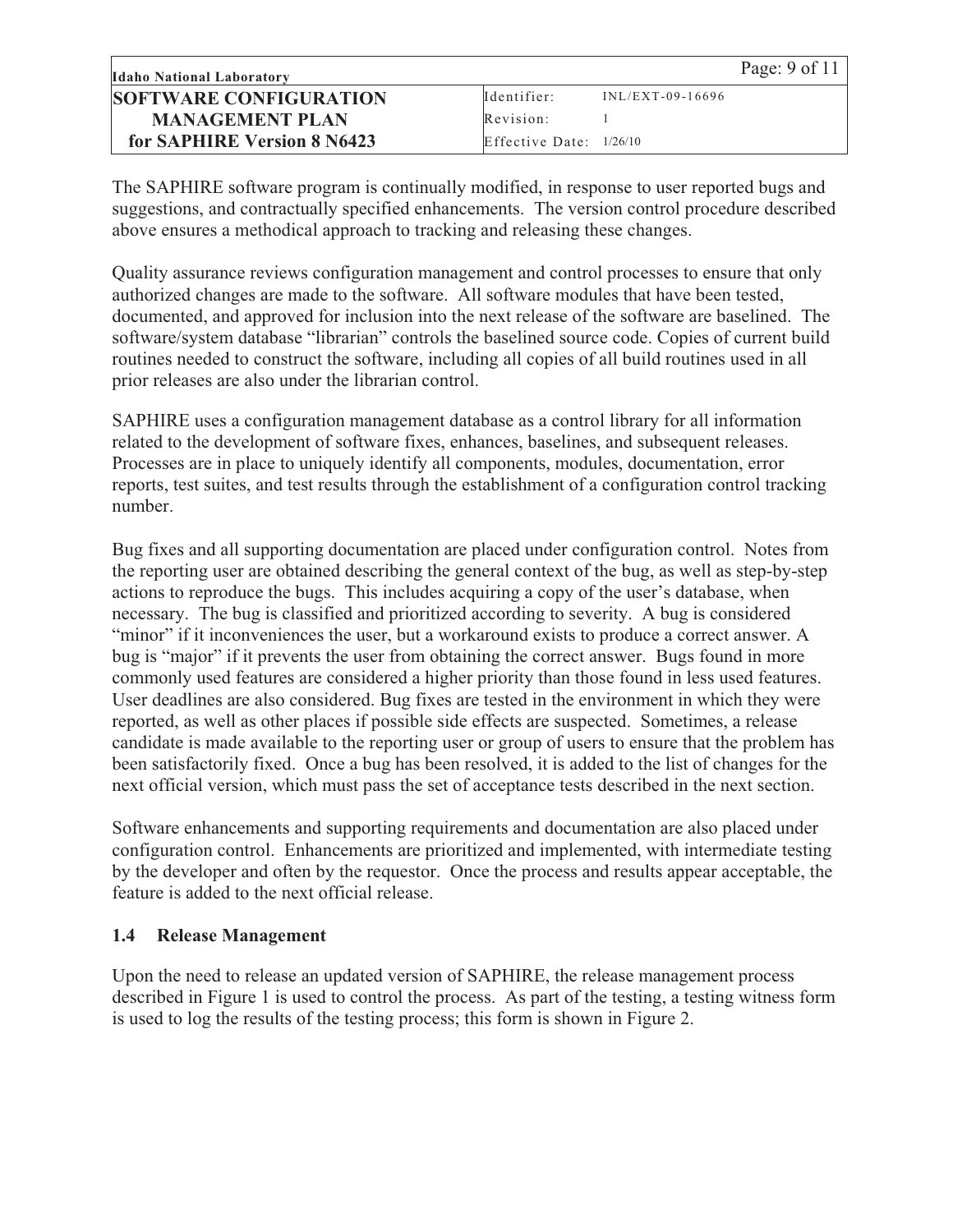| <b>Idaho National Laboratory</b> |                           |                    | Page: $9$ of 11 |
|----------------------------------|---------------------------|--------------------|-----------------|
| <b>SOFTWARE CONFIGURATION</b>    | Identifier:               | $INL/EXT-09-16696$ |                 |
| <b>MANAGEMENT PLAN</b>           | Revision:                 |                    |                 |
| for SAPHIRE Version 8 N6423      | Effective Date: $1/26/10$ |                    |                 |

The SAPHIRE software program is continually modified, in response to user reported bugs and suggestions, and contractually specified enhancements. The version control procedure described above ensures a methodical approach to tracking and releasing these changes.

Quality assurance reviews configuration management and control processes to ensure that only authorized changes are made to the software. All software modules that have been tested, documented, and approved for inclusion into the next release of the software are baselined. The software/system database "librarian" controls the baselined source code. Copies of current build routines needed to construct the software, including all copies of all build routines used in all prior releases are also under the librarian control.

SAPHIRE uses a configuration management database as a control library for all information related to the development of software fixes, enhances, baselines, and subsequent releases. Processes are in place to uniquely identify all components, modules, documentation, error reports, test suites, and test results through the establishment of a configuration control tracking number.

Bug fixes and all supporting documentation are placed under configuration control. Notes from the reporting user are obtained describing the general context of the bug, as well as step-by-step actions to reproduce the bugs. This includes acquiring a copy of the user's database, when necessary. The bug is classified and prioritized according to severity. A bug is considered "minor" if it inconveniences the user, but a workaround exists to produce a correct answer. A bug is "major" if it prevents the user from obtaining the correct answer. Bugs found in more commonly used features are considered a higher priority than those found in less used features. User deadlines are also considered. Bug fixes are tested in the environment in which they were reported, as well as other places if possible side effects are suspected. Sometimes, a release candidate is made available to the reporting user or group of users to ensure that the problem has been satisfactorily fixed. Once a bug has been resolved, it is added to the list of changes for the next official version, which must pass the set of acceptance tests described in the next section.

Software enhancements and supporting requirements and documentation are also placed under configuration control. Enhancements are prioritized and implemented, with intermediate testing by the developer and often by the requestor. Once the process and results appear acceptable, the feature is added to the next official release.

#### **1.4 Release Management**

Upon the need to release an updated version of SAPHIRE, the release management process described in Figure 1 is used to control the process. As part of the testing, a testing witness form is used to log the results of the testing process; this form is shown in Figure 2.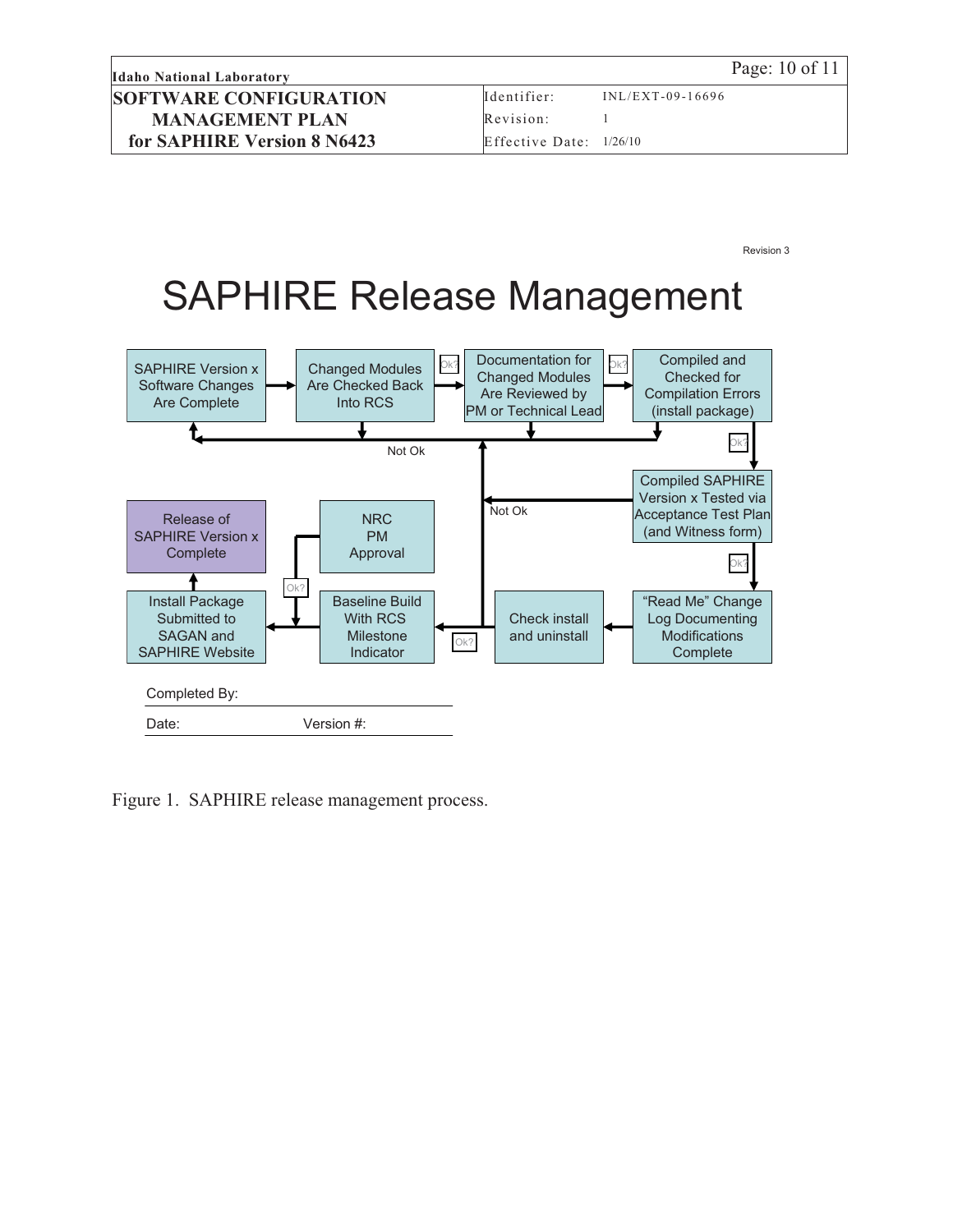**Idaho National Laboratory** Page: 10 of 11 **SOFTWARE CONFIGURATION MANAGEMENT PLAN for SAPHIRE Version 8 N6423**

Revision 3

## SAPHIRE Release Management



Figure 1. SAPHIRE release management process.